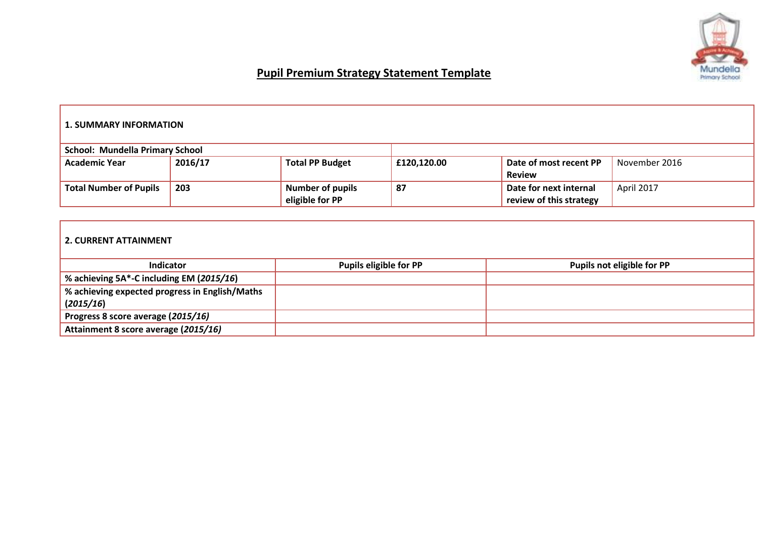

# **Pupil Premium Strategy Statement Template**

## **1. SUMMARY INFORMATION**

| <b>School: Mundella Primary School</b>             |     |                         |                         |                        |            |
|----------------------------------------------------|-----|-------------------------|-------------------------|------------------------|------------|
| 2016/17<br><b>Total PP Budget</b><br>Academic Year |     | £120,120.00             | Date of most recent PP  | November 2016          |            |
|                                                    |     |                         |                         | <b>Review</b>          |            |
| <b>Total Number of Pupils</b>                      | 203 | <b>Number of pupils</b> | 87                      | Date for next internal | April 2017 |
| eligible for PP                                    |     |                         | review of this strategy |                        |            |

#### **2. CURRENT ATTAINMENT**

| <b>Indicator</b>                               | <b>Pupils eligible for PP</b> | Pupils not eligible for PP |
|------------------------------------------------|-------------------------------|----------------------------|
| % achieving 5A*-C including EM (2015/16)       |                               |                            |
| % achieving expected progress in English/Maths |                               |                            |
| (2015/16)                                      |                               |                            |
| Progress 8 score average (2015/16)             |                               |                            |
| Attainment 8 score average (2015/16)           |                               |                            |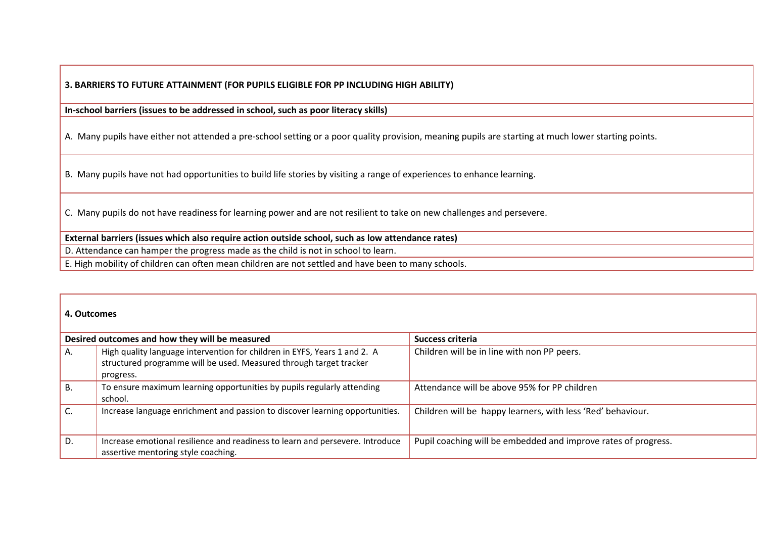**3. BARRIERS TO FUTURE ATTAINMENT (FOR PUPILS ELIGIBLE FOR PP INCLUDING HIGH ABILITY)**

**In-school barriers (issues to be addressed in school, such as poor literacy skills)** 

A. Many pupils have either not attended a pre-school setting or a poor quality provision, meaning pupils are starting at much lower starting points.

B. Many pupils have not had opportunities to build life stories by visiting a range of experiences to enhance learning.

C. Many pupils do not have readiness for learning power and are not resilient to take on new challenges and persevere.

### **External barriers (issues which also require action outside school, such as low attendance rates)**

D. Attendance can hamper the progress made as the child is not in school to learn.

E. High mobility of children can often mean children are not settled and have been to many schools.

#### **4. Outcomes**

|    | Desired outcomes and how they will be measured                                                                                                               | Success criteria                                               |
|----|--------------------------------------------------------------------------------------------------------------------------------------------------------------|----------------------------------------------------------------|
| Α. | High quality language intervention for children in EYFS, Years 1 and 2. A<br>structured programme will be used. Measured through target tracker<br>progress. | Children will be in line with non PP peers.                    |
| В. | To ensure maximum learning opportunities by pupils regularly attending<br>school.                                                                            | Attendance will be above 95% for PP children                   |
|    | Increase language enrichment and passion to discover learning opportunities.                                                                                 | Children will be happy learners, with less 'Red' behaviour.    |
| D. | Increase emotional resilience and readiness to learn and persevere. Introduce<br>assertive mentoring style coaching.                                         | Pupil coaching will be embedded and improve rates of progress. |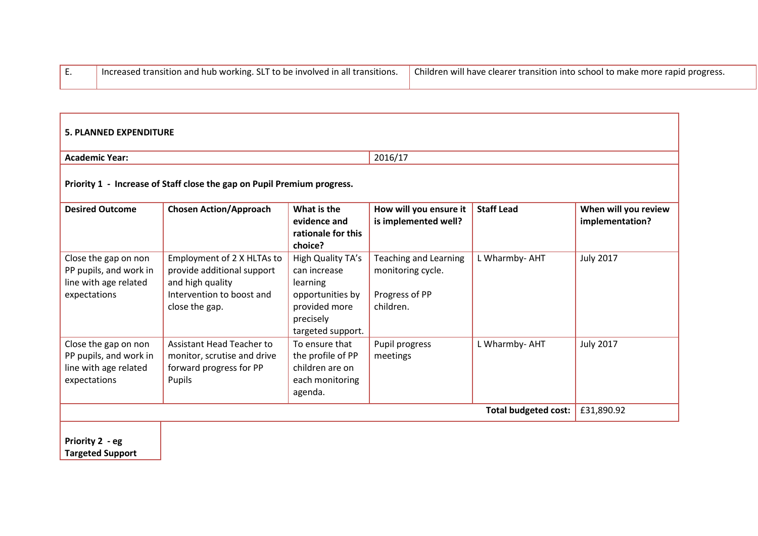| I Increased transition and hub working. SLT to be involved in all transitions. | Children will have clearer transition into school to make more rapid progress. |
|--------------------------------------------------------------------------------|--------------------------------------------------------------------------------|
|                                                                                |                                                                                |

| <b>5. PLANNED EXPENDITURE</b>                                                           |                                                                                                                             |                                                                                                                      |                                                                                  |                             |                                         |
|-----------------------------------------------------------------------------------------|-----------------------------------------------------------------------------------------------------------------------------|----------------------------------------------------------------------------------------------------------------------|----------------------------------------------------------------------------------|-----------------------------|-----------------------------------------|
| <b>Academic Year:</b>                                                                   |                                                                                                                             |                                                                                                                      | 2016/17                                                                          |                             |                                         |
|                                                                                         | Priority 1 - Increase of Staff close the gap on Pupil Premium progress.                                                     |                                                                                                                      |                                                                                  |                             |                                         |
| <b>Desired Outcome</b>                                                                  | <b>Chosen Action/Approach</b>                                                                                               | What is the<br>evidence and<br>rationale for this<br>choice?                                                         | How will you ensure it<br>is implemented well?                                   | <b>Staff Lead</b>           | When will you review<br>implementation? |
| Close the gap on non<br>PP pupils, and work in<br>line with age related<br>expectations | Employment of 2 X HLTAs to<br>provide additional support<br>and high quality<br>Intervention to boost and<br>close the gap. | High Quality TA's<br>can increase<br>learning<br>opportunities by<br>provided more<br>precisely<br>targeted support. | <b>Teaching and Learning</b><br>monitoring cycle.<br>Progress of PP<br>children. | L Wharmby- AHT              | <b>July 2017</b>                        |
| Close the gap on non<br>PP pupils, and work in<br>line with age related<br>expectations | <b>Assistant Head Teacher to</b><br>monitor, scrutise and drive<br>forward progress for PP<br>Pupils                        | To ensure that<br>the profile of PP<br>children are on<br>each monitoring<br>agenda.                                 | Pupil progress<br>meetings                                                       | L Wharmby- AHT              | <b>July 2017</b>                        |
|                                                                                         |                                                                                                                             |                                                                                                                      |                                                                                  | <b>Total budgeted cost:</b> | £31,890.92                              |
| Priority 2 - eg<br><b>Targeted Support</b>                                              |                                                                                                                             |                                                                                                                      |                                                                                  |                             |                                         |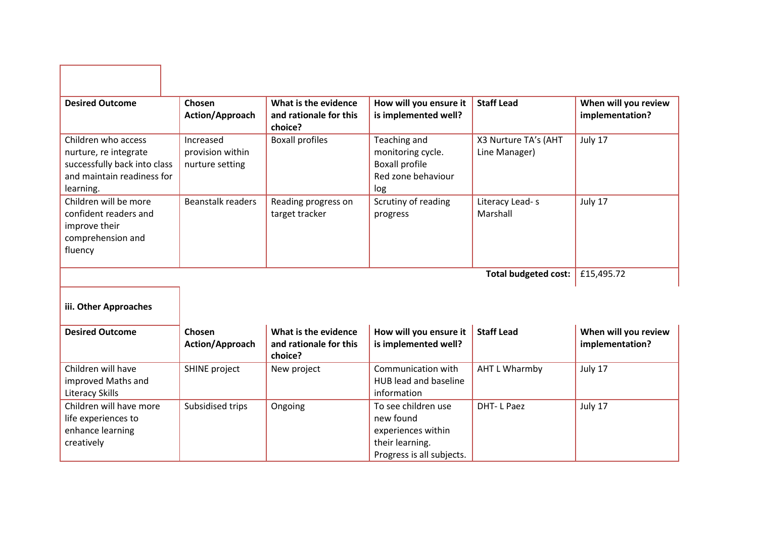| <b>Desired Outcome</b>                                                                                                  | Chosen<br>Action/Approach                        | What is the evidence<br>and rationale for this<br>choice? | How will you ensure it<br>is implemented well?                                                         | <b>Staff Lead</b>                     | When will you review<br>implementation? |
|-------------------------------------------------------------------------------------------------------------------------|--------------------------------------------------|-----------------------------------------------------------|--------------------------------------------------------------------------------------------------------|---------------------------------------|-----------------------------------------|
| Children who access<br>nurture, re integrate<br>successfully back into class<br>and maintain readiness for<br>learning. | Increased<br>provision within<br>nurture setting | <b>Boxall profiles</b>                                    | Teaching and<br>monitoring cycle.<br><b>Boxall profile</b><br>Red zone behaviour<br>log                | X3 Nurture TA's (AHT<br>Line Manager) | July 17                                 |
| Children will be more<br>confident readers and<br>improve their<br>comprehension and<br>fluency                         | <b>Beanstalk readers</b>                         | Reading progress on<br>target tracker                     | Scrutiny of reading<br>progress                                                                        | Literacy Lead-s<br>Marshall           | July 17                                 |
|                                                                                                                         |                                                  |                                                           |                                                                                                        | <b>Total budgeted cost:</b>           | £15,495.72                              |
| iii. Other Approaches                                                                                                   |                                                  |                                                           |                                                                                                        |                                       |                                         |
| <b>Desired Outcome</b>                                                                                                  | Chosen<br>Action/Approach                        | What is the evidence<br>and rationale for this<br>choice? | How will you ensure it<br>is implemented well?                                                         | <b>Staff Lead</b>                     | When will you review<br>implementation? |
| Children will have<br>improved Maths and<br><b>Literacy Skills</b>                                                      | <b>SHINE project</b>                             | New project                                               | Communication with<br>HUB lead and baseline<br>information                                             | <b>AHT L Wharmby</b>                  | July 17                                 |
| Children will have more<br>life experiences to<br>enhance learning<br>creatively                                        | Subsidised trips                                 | Ongoing                                                   | To see children use<br>new found<br>experiences within<br>their learning.<br>Progress is all subjects. | <b>DHT-LPaez</b>                      | July 17                                 |

٦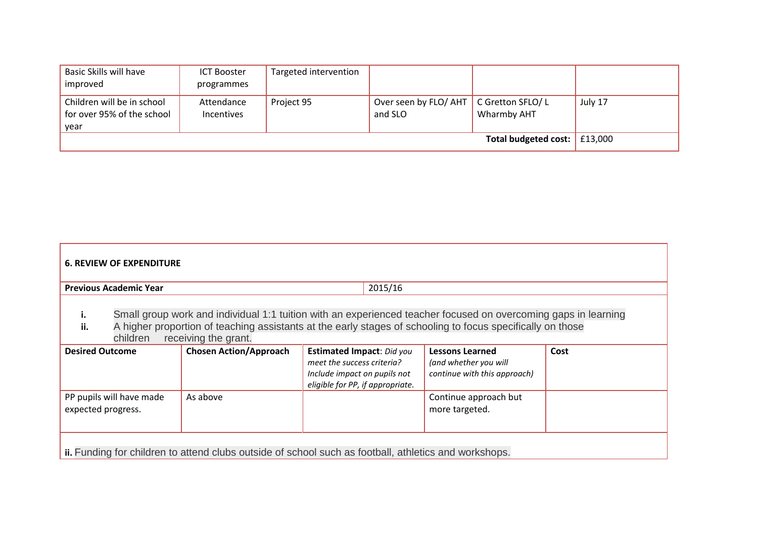| Basic Skills will have                                           | <b>ICT Booster</b>              | Targeted intervention |                                  |                                 |         |
|------------------------------------------------------------------|---------------------------------|-----------------------|----------------------------------|---------------------------------|---------|
| improved                                                         | programmes                      |                       |                                  |                                 |         |
| Children will be in school<br>for over 95% of the school<br>vear | Attendance<br><b>Incentives</b> | Project 95            | Over seen by FLO/ AHT<br>and SLO | C Gretton SFLO/L<br>Wharmby AHT | July 17 |
|                                                                  |                                 |                       |                                  | Total budgeted cost: £13,000    |         |

| <b>6. REVIEW OF EXPENDITURE</b>                                                                       |                                                                                                                                                                                                                                                      |                                                                                                                                    |                                                                                 |      |  |  |
|-------------------------------------------------------------------------------------------------------|------------------------------------------------------------------------------------------------------------------------------------------------------------------------------------------------------------------------------------------------------|------------------------------------------------------------------------------------------------------------------------------------|---------------------------------------------------------------------------------|------|--|--|
| <b>Previous Academic Year</b>                                                                         |                                                                                                                                                                                                                                                      | 2015/16                                                                                                                            |                                                                                 |      |  |  |
| i.<br>ii.<br>children                                                                                 | Small group work and individual 1:1 tuition with an experienced teacher focused on overcoming gaps in learning<br>A higher proportion of teaching assistants at the early stages of schooling to focus specifically on those<br>receiving the grant. |                                                                                                                                    |                                                                                 |      |  |  |
| <b>Desired Outcome</b>                                                                                | <b>Chosen Action/Approach</b>                                                                                                                                                                                                                        | <b>Estimated Impact: Did you</b><br>meet the success criteria?<br>Include impact on pupils not<br>eligible for PP, if appropriate. | <b>Lessons Learned</b><br>(and whether you will<br>continue with this approach) | Cost |  |  |
| As above<br>PP pupils will have made<br>expected progress.                                            |                                                                                                                                                                                                                                                      |                                                                                                                                    | Continue approach but<br>more targeted.                                         |      |  |  |
| ii. Funding for children to attend clubs outside of school such as football, athletics and workshops. |                                                                                                                                                                                                                                                      |                                                                                                                                    |                                                                                 |      |  |  |